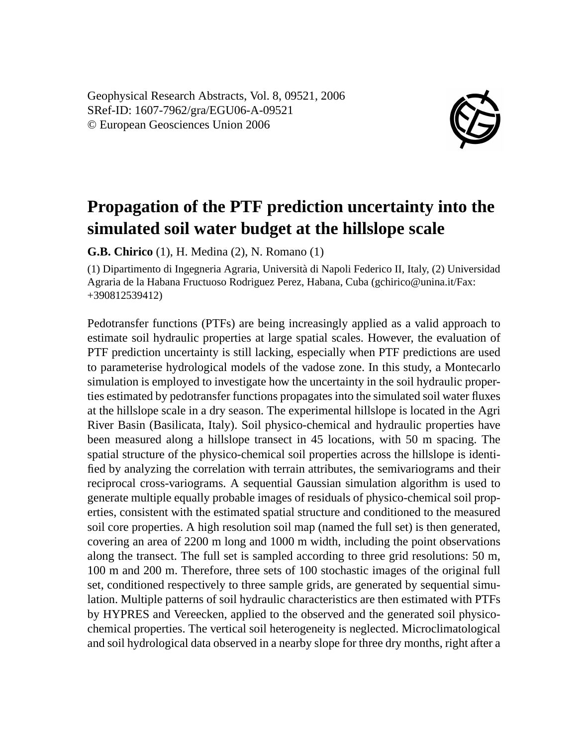Geophysical Research Abstracts, Vol. 8, 09521, 2006 SRef-ID: 1607-7962/gra/EGU06-A-09521 © European Geosciences Union 2006



## **Propagation of the PTF prediction uncertainty into the simulated soil water budget at the hillslope scale**

**G.B. Chirico** (1), H. Medina (2), N. Romano (1)

(1) Dipartimento di Ingegneria Agraria, Università di Napoli Federico II, Italy, (2) Universidad Agraria de la Habana Fructuoso Rodriguez Perez, Habana, Cuba (gchirico@unina.it/Fax: +390812539412)

Pedotransfer functions (PTFs) are being increasingly applied as a valid approach to estimate soil hydraulic properties at large spatial scales. However, the evaluation of PTF prediction uncertainty is still lacking, especially when PTF predictions are used to parameterise hydrological models of the vadose zone. In this study, a Montecarlo simulation is employed to investigate how the uncertainty in the soil hydraulic properties estimated by pedotransfer functions propagates into the simulated soil water fluxes at the hillslope scale in a dry season. The experimental hillslope is located in the Agri River Basin (Basilicata, Italy). Soil physico-chemical and hydraulic properties have been measured along a hillslope transect in 45 locations, with 50 m spacing. The spatial structure of the physico-chemical soil properties across the hillslope is identified by analyzing the correlation with terrain attributes, the semivariograms and their reciprocal cross-variograms. A sequential Gaussian simulation algorithm is used to generate multiple equally probable images of residuals of physico-chemical soil properties, consistent with the estimated spatial structure and conditioned to the measured soil core properties. A high resolution soil map (named the full set) is then generated, covering an area of 2200 m long and 1000 m width, including the point observations along the transect. The full set is sampled according to three grid resolutions: 50 m, 100 m and 200 m. Therefore, three sets of 100 stochastic images of the original full set, conditioned respectively to three sample grids, are generated by sequential simulation. Multiple patterns of soil hydraulic characteristics are then estimated with PTFs by HYPRES and Vereecken, applied to the observed and the generated soil physicochemical properties. The vertical soil heterogeneity is neglected. Microclimatological and soil hydrological data observed in a nearby slope for three dry months, right after a